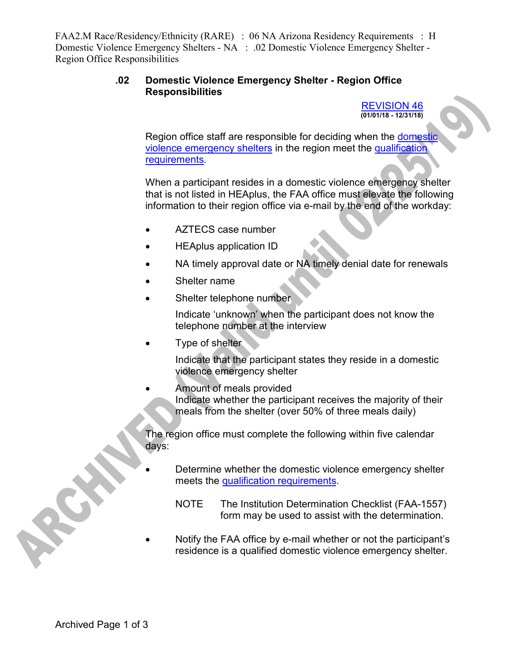FAA2.M Race/Residency/Ethnicity (RARE) : 06 NA Arizona Residency Requirements : H Domestic Violence Emergency Shelters - NA : .02 Domestic Violence Emergency Shelter - Region Office Responsibilities

## **.02 Domestic Violence Emergency Shelter - Region Office Responsibilities**

REVISION 46 **(01/01/18 - 12/31/18)**

Region office staff are responsible for deciding when the domestic violence emergency shelters in the region meet the qualification requirements.

When a participant resides in a domestic violence emergency shelter that is not listed in HEAplus, the FAA office must elevate the following information to their region office via e-mail by the end of the workday:

- AZTECS case number
- HEAplus application ID
- NA timely approval date or NA timely denial date for renewals
- Shelter name
- Shelter telephone number

Indicate 'unknown' when the participant does not know the telephone number at the interview

Type of shelter

Indicate that the participant states they reside in a domestic violence emergency shelter

• Amount of meals provided Indicate whether the participant receives the majority of their meals from the shelter (over 50% of three meals daily)

The region office must complete the following within five calendar days:

- Determine whether the domestic violence emergency shelter meets the qualification requirements.
	- NOTE The Institution Determination Checklist (FAA-1557) form may be used to assist with the determination.
- Notify the FAA office by e-mail whether or not the participant's residence is a qualified domestic violence emergency shelter.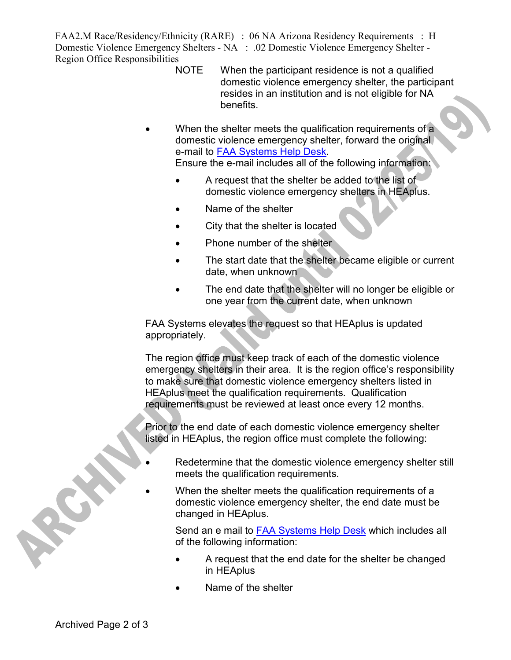FAA2.M Race/Residency/Ethnicity (RARE) : 06 NA Arizona Residency Requirements : H Domestic Violence Emergency Shelters - NA : .02 Domestic Violence Emergency Shelter - Region Office Responsibilities

- NOTE When the participant residence is not a qualified domestic violence emergency shelter, the participant resides in an institution and is not eligible for NA benefits.
- When the shelter meets the qualification requirements of a domestic violence emergency shelter, forward the original e-mail to FAA Systems Help Desk. Ensure the e-mail includes all of the following information:
	- A request that the shelter be added to the list of domestic violence emergency shelters in HEAplus.
	- Name of the shelter
	- City that the shelter is located
	- Phone number of the shelter
	- The start date that the shelter became eligible or current date, when unknown
	- The end date that the shelter will no longer be eligible or one year from the current date, when unknown

FAA Systems elevates the request so that HEAplus is updated appropriately.

The region office must keep track of each of the domestic violence emergency shelters in their area. It is the region office's responsibility to make sure that domestic violence emergency shelters listed in HEAplus meet the qualification requirements. Qualification requirements must be reviewed at least once every 12 months.

Prior to the end date of each domestic violence emergency shelter listed in HEAplus, the region office must complete the following:

- Redetermine that the domestic violence emergency shelter still meets the qualification requirements.
- When the shelter meets the qualification requirements of a domestic violence emergency shelter, the end date must be changed in HEAplus.

Send an e mail to FAA Systems Help Desk which includes all of the following information:

- A request that the end date for the shelter be changed in HEAplus
- Name of the shelter